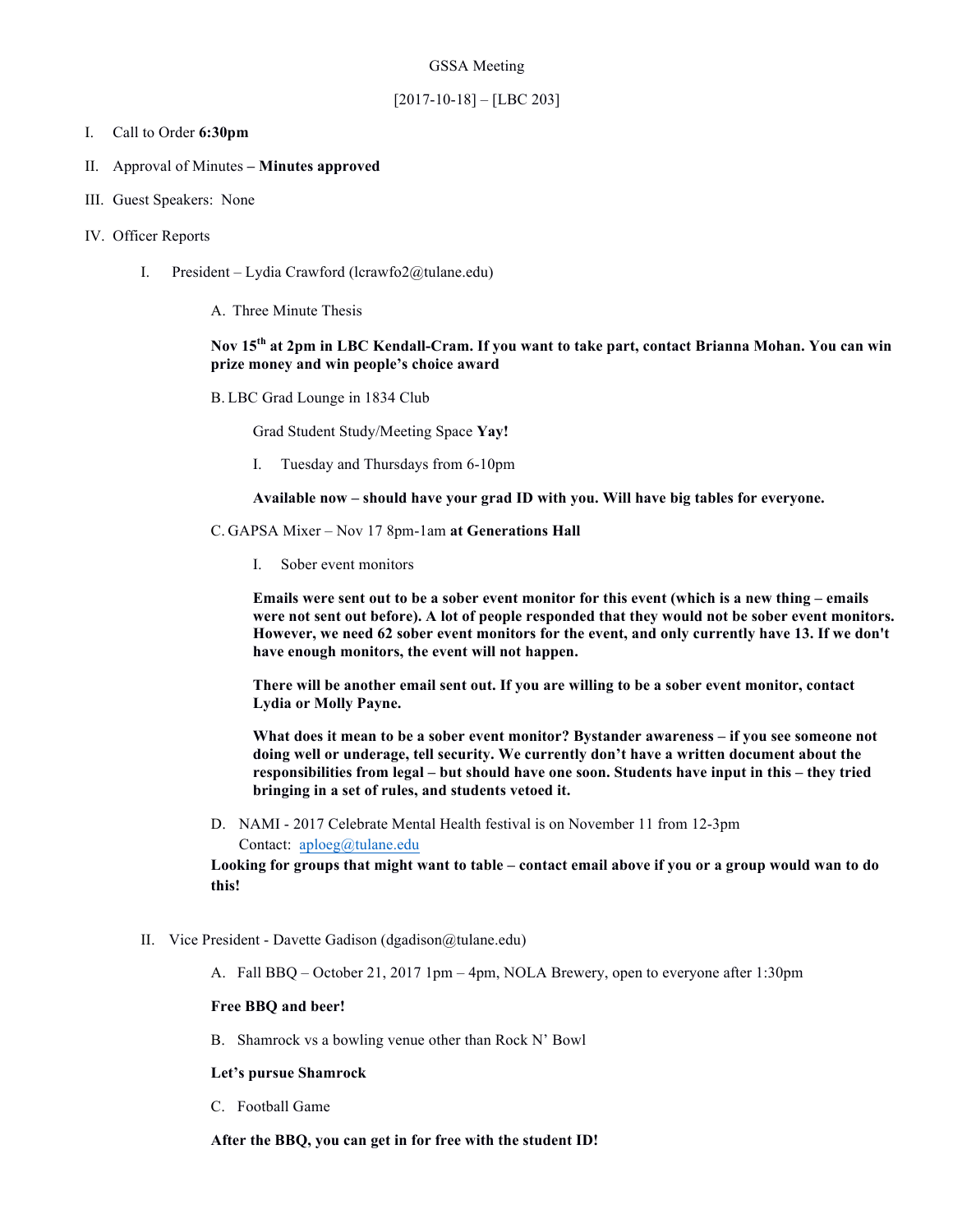### GSSA Meeting

## [2017-10-18] – [LBC 203]

## I. Call to Order **6:30pm**

## II. Approval of Minutes **– Minutes approved**

- III. Guest Speakers: None
- IV. Officer Reports
	- I. President Lydia Crawford (lcrawfo2@tulane.edu)
		- A. Three Minute Thesis

# **Nov 15th at 2pm in LBC Kendall-Cram. If you want to take part, contact Brianna Mohan. You can win prize money and win people's choice award**

B. LBC Grad Lounge in 1834 Club

Grad Student Study/Meeting Space **Yay!**

I. Tuesday and Thursdays from 6-10pm

**Available now – should have your grad ID with you. Will have big tables for everyone.** 

C. GAPSA Mixer – Nov 17 8pm-1am **at Generations Hall**

I. Sober event monitors

**Emails were sent out to be a sober event monitor for this event (which is a new thing – emails were not sent out before). A lot of people responded that they would not be sober event monitors. However, we need 62 sober event monitors for the event, and only currently have 13. If we don't have enough monitors, the event will not happen.**

**There will be another email sent out. If you are willing to be a sober event monitor, contact Lydia or Molly Payne.** 

**What does it mean to be a sober event monitor? Bystander awareness – if you see someone not doing well or underage, tell security. We currently don't have a written document about the responsibilities from legal – but should have one soon. Students have input in this – they tried bringing in a set of rules, and students vetoed it.** 

D. NAMI - 2017 Celebrate Mental Health festival is on November 11 from 12-3pm Contact: aploeg@tulane.edu

**Looking for groups that might want to table – contact email above if you or a group would wan to do this!**

- II. Vice President Davette Gadison (dgadison@tulane.edu)
	- A. Fall BBQ October 21, 2017 1pm 4pm, NOLA Brewery, open to everyone after 1:30pm

#### **Free BBQ and beer!**

B. Shamrock vs a bowling venue other than Rock N' Bowl

#### **Let's pursue Shamrock**

C. Football Game

**After the BBQ, you can get in for free with the student ID!**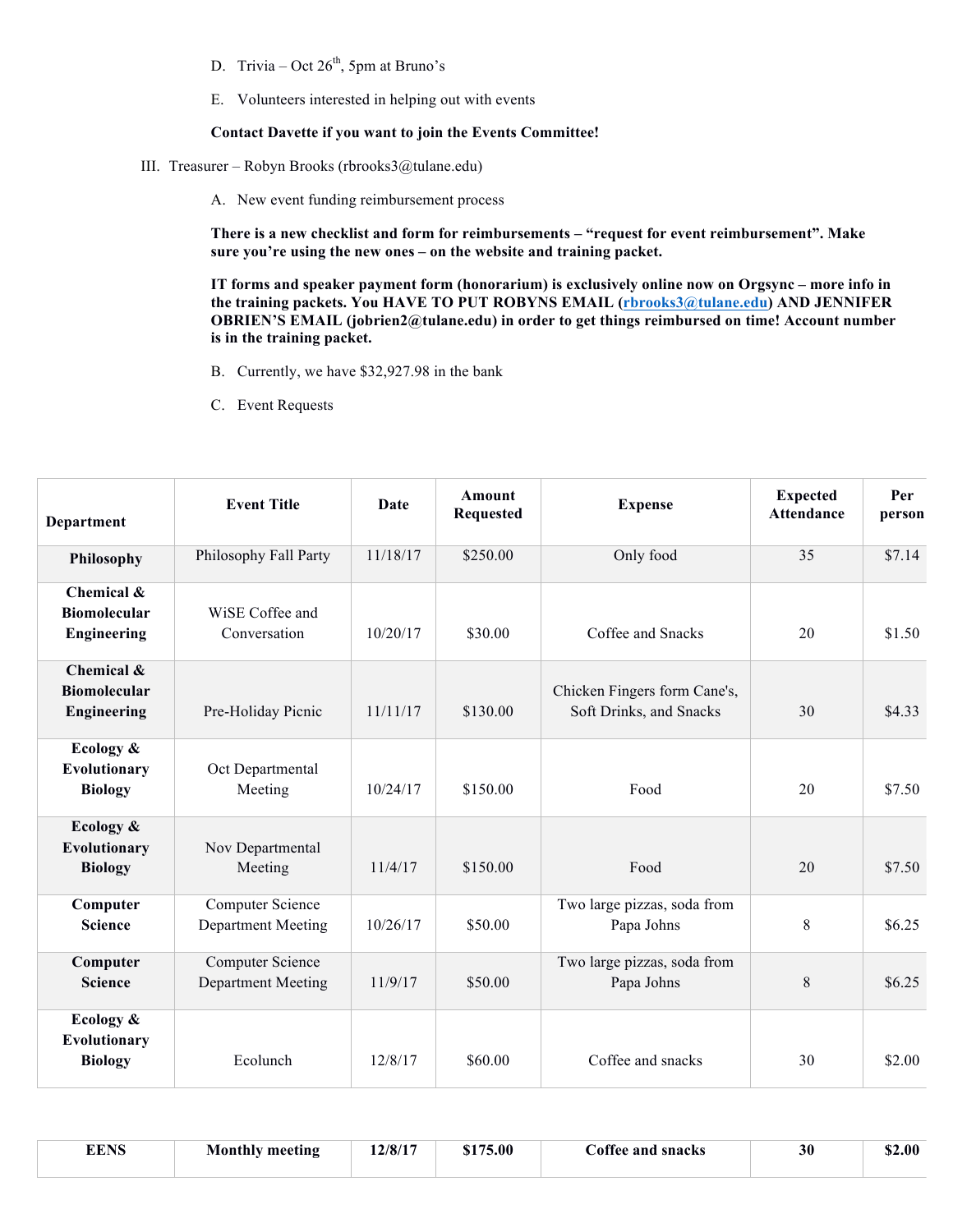- D. Trivia Oct  $26<sup>th</sup>$ , 5pm at Bruno's
- E. Volunteers interested in helping out with events

## **Contact Davette if you want to join the Events Committee!**

- III. Treasurer Robyn Brooks (rbrooks3@tulane.edu)
	- A. New event funding reimbursement process

**There is a new checklist and form for reimbursements – "request for event reimbursement". Make sure you're using the new ones – on the website and training packet.**

**IT forms and speaker payment form (honorarium) is exclusively online now on Orgsync – more info in the training packets. You HAVE TO PUT ROBYNS EMAIL (rbrooks3@tulane.edu) AND JENNIFER OBRIEN'S EMAIL (jobrien2@tulane.edu) in order to get things reimbursed on time! Account number is in the training packet.**

- B. Currently, we have \$32,927.98 in the bank
- C. Event Requests

| <b>Department</b>                                       | <b>Event Title</b>                                   | <b>Date</b> | <b>Amount</b><br><b>Requested</b> | <b>Expense</b>                                          | <b>Expected</b><br><b>Attendance</b> | Per<br>person |
|---------------------------------------------------------|------------------------------------------------------|-------------|-----------------------------------|---------------------------------------------------------|--------------------------------------|---------------|
| Philosophy                                              | Philosophy Fall Party                                | 11/18/17    | \$250.00                          | Only food                                               | 35                                   | \$7.14        |
| Chemical &<br><b>Biomolecular</b><br><b>Engineering</b> | WiSE Coffee and<br>Conversation                      | 10/20/17    | \$30.00                           | Coffee and Snacks                                       | 20                                   | \$1.50        |
| Chemical &<br><b>Biomolecular</b><br>Engineering        | Pre-Holiday Picnic                                   | 11/11/17    | \$130.00                          | Chicken Fingers form Cane's,<br>Soft Drinks, and Snacks | 30                                   | \$4.33        |
| Ecology &<br>Evolutionary<br><b>Biology</b>             | Oct Departmental<br>Meeting                          | 10/24/17    | \$150.00                          | Food                                                    | 20                                   | \$7.50        |
| Ecology &<br><b>Evolutionary</b><br><b>Biology</b>      | Nov Departmental<br>Meeting                          | 11/4/17     | \$150.00                          | Food                                                    | 20                                   | \$7.50        |
| Computer<br><b>Science</b>                              | Computer Science<br><b>Department Meeting</b>        | 10/26/17    | \$50.00                           | Two large pizzas, soda from<br>Papa Johns               | 8                                    | \$6.25        |
| Computer<br><b>Science</b>                              | <b>Computer Science</b><br><b>Department Meeting</b> | 11/9/17     | \$50.00                           | Two large pizzas, soda from<br>Papa Johns               | 8                                    | \$6.25        |
| Ecology &<br>Evolutionary<br><b>Biology</b>             | Ecolunch                                             | 12/8/17     | \$60.00                           | Coffee and snacks                                       | 30                                   | \$2.00        |

|  | <b>EENS</b> | Monthly meeting | 12/8/17 | \$175.00 | Coffee and snacks | 30 | \$2.00 |
|--|-------------|-----------------|---------|----------|-------------------|----|--------|
|--|-------------|-----------------|---------|----------|-------------------|----|--------|